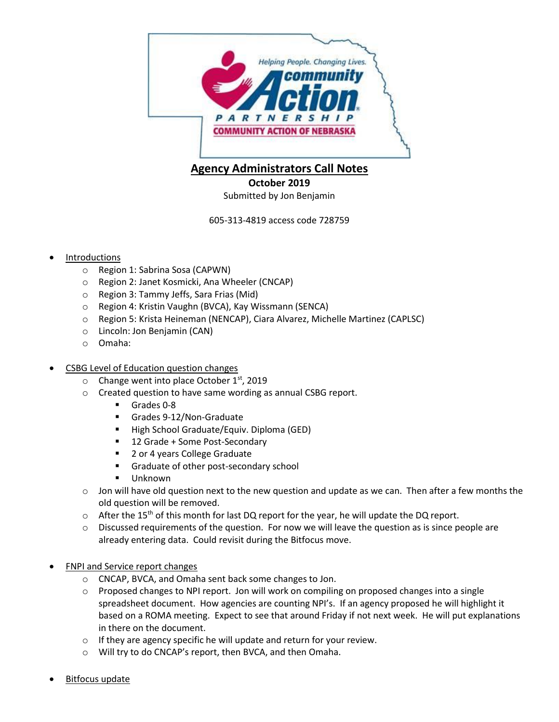

## **Agency Administrators Call Notes**

**October 2019**

Submitted by Jon Benjamin

605-313-4819 access code 728759

## Introductions

- o Region 1: Sabrina Sosa (CAPWN)
- o Region 2: Janet Kosmicki, Ana Wheeler (CNCAP)
- o Region 3: Tammy Jeffs, Sara Frias (Mid)
- o Region 4: Kristin Vaughn (BVCA), Kay Wissmann (SENCA)
- o Region 5: Krista Heineman (NENCAP), Ciara Alvarez, Michelle Martinez (CAPLSC)
- o Lincoln: Jon Benjamin (CAN)
- o Omaha:

## CSBG Level of Education question changes

- $\circ$  Change went into place October 1<sup>st</sup>, 2019
- o Created question to have same wording as annual CSBG report.
	- Grades 0-8
	- Grades 9-12/Non-Graduate
	- **High School Graduate/Equiv. Diploma (GED)**
	- 12 Grade + Some Post-Secondary
	- 2 or 4 years College Graduate
	- Graduate of other post-secondary school
	- Unknown
- $\circ$  Jon will have old question next to the new question and update as we can. Then after a few months the old question will be removed.
- $\circ$  After the 15<sup>th</sup> of this month for last DQ report for the year, he will update the DQ report.
- $\circ$  Discussed requirements of the question. For now we will leave the question as is since people are already entering data. Could revisit during the Bitfocus move.
- FNPI and Service report changes
	- o CNCAP, BVCA, and Omaha sent back some changes to Jon.
	- $\circ$  Proposed changes to NPI report. Jon will work on compiling on proposed changes into a single spreadsheet document. How agencies are counting NPI's. If an agency proposed he will highlight it based on a ROMA meeting. Expect to see that around Friday if not next week. He will put explanations in there on the document.
	- o If they are agency specific he will update and return for your review.
	- o Will try to do CNCAP's report, then BVCA, and then Omaha.
- Bitfocus update